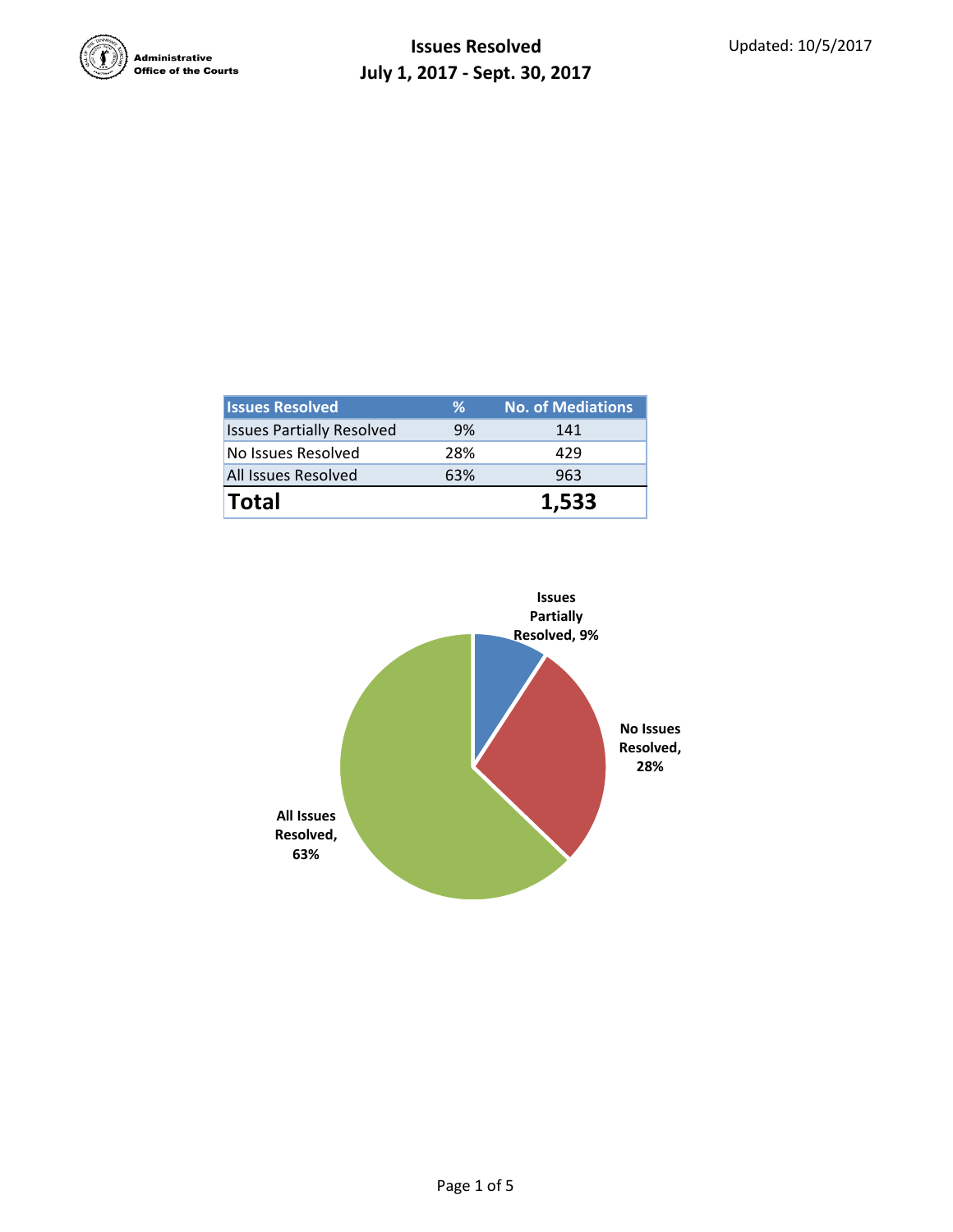

| <b>Issues Resolved</b>           | ℅         | <b>No. of Mediations</b> |  |  |
|----------------------------------|-----------|--------------------------|--|--|
| <b>Issues Partially Resolved</b> | 9%<br>141 |                          |  |  |
| No Issues Resolved               | 28%       | 429                      |  |  |
| All Issues Resolved              | 63%       | 963                      |  |  |
| <b>Total</b>                     |           | 1.533                    |  |  |

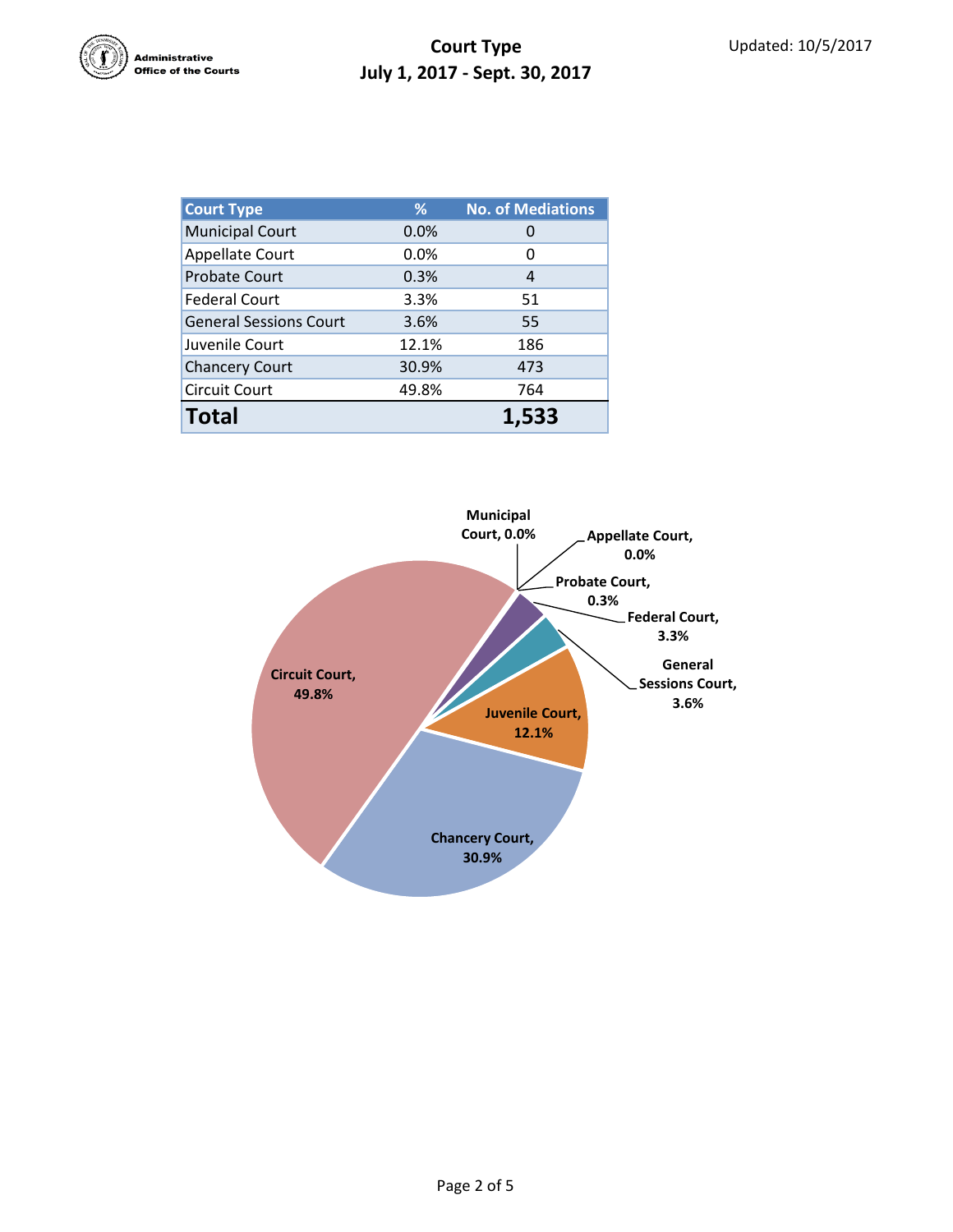

| <b>Court Type</b>             | %     | <b>No. of Mediations</b> |  |  |
|-------------------------------|-------|--------------------------|--|--|
| <b>Municipal Court</b>        | 0.0%  |                          |  |  |
| <b>Appellate Court</b>        | 0.0%  | 0                        |  |  |
| <b>Probate Court</b>          | 0.3%  | 4                        |  |  |
| <b>Federal Court</b>          | 3.3%  | 51                       |  |  |
| <b>General Sessions Court</b> | 3.6%  | 55                       |  |  |
| Juvenile Court                | 12.1% | 186                      |  |  |
| <b>Chancery Court</b>         | 30.9% | 473                      |  |  |
| <b>Circuit Court</b>          | 49.8% | 764                      |  |  |
| <b>Total</b>                  |       | 1.533                    |  |  |

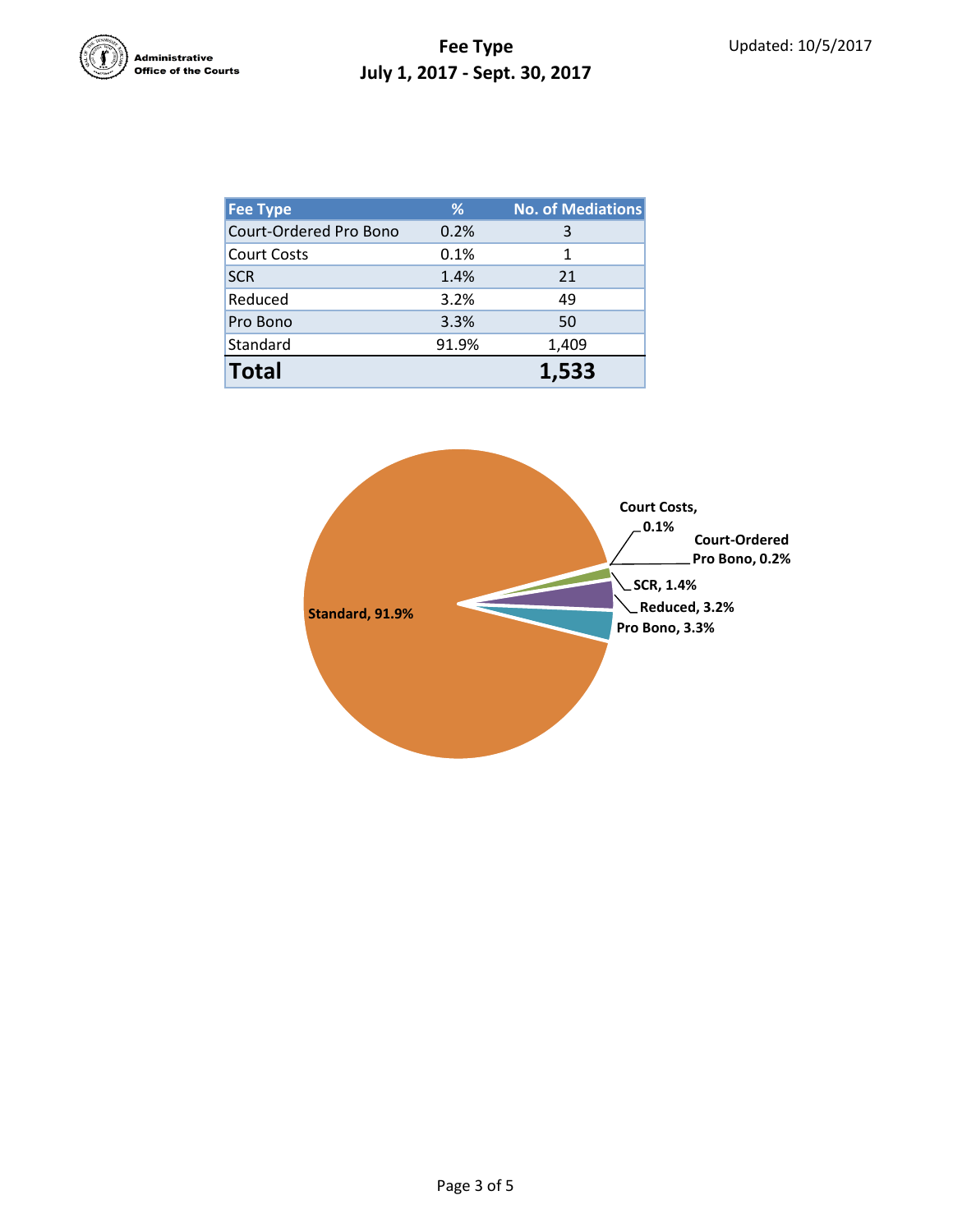

## **Fee Type July 1, 2017 - Sept. 30, 2017**

| Fee Type               | %     | <b>No. of Mediations</b> |
|------------------------|-------|--------------------------|
| Court-Ordered Pro Bono | 0.2%  | 3                        |
| <b>Court Costs</b>     | 0.1%  | 1                        |
| <b>SCR</b>             | 1.4%  | 21                       |
| Reduced                | 3.2%  | 49                       |
| Pro Bono               | 3.3%  | 50                       |
| Standard               | 91.9% | 1,409                    |
| <b>Total</b>           |       | 1,533                    |

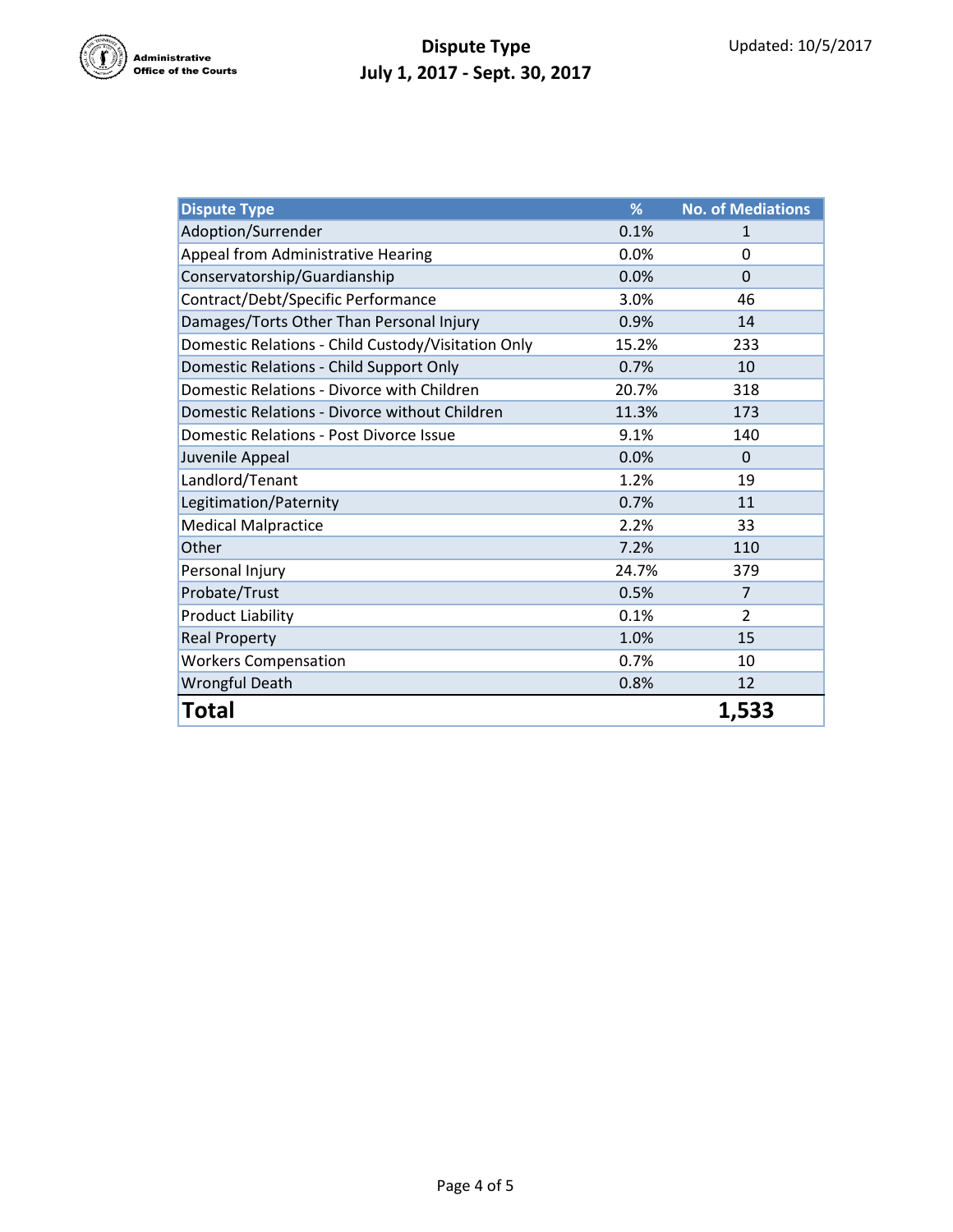

## **Dispute Type July 1, 2017 - Sept. 30, 2017**

| <b>Dispute Type</b>                                | %     | <b>No. of Mediations</b> |
|----------------------------------------------------|-------|--------------------------|
| Adoption/Surrender                                 | 0.1%  | 1                        |
| Appeal from Administrative Hearing                 | 0.0%  | $\Omega$                 |
| Conservatorship/Guardianship                       | 0.0%  | $\Omega$                 |
| Contract/Debt/Specific Performance                 | 3.0%  | 46                       |
| Damages/Torts Other Than Personal Injury           | 0.9%  | 14                       |
| Domestic Relations - Child Custody/Visitation Only | 15.2% | 233                      |
| Domestic Relations - Child Support Only            | 0.7%  | 10                       |
| Domestic Relations - Divorce with Children         | 20.7% | 318                      |
| Domestic Relations - Divorce without Children      | 11.3% | 173                      |
| Domestic Relations - Post Divorce Issue            | 9.1%  | 140                      |
| Juvenile Appeal                                    | 0.0%  | $\Omega$                 |
| Landlord/Tenant                                    | 1.2%  | 19                       |
| Legitimation/Paternity                             | 0.7%  | 11                       |
| <b>Medical Malpractice</b>                         | 2.2%  | 33                       |
| Other                                              | 7.2%  | 110                      |
| Personal Injury                                    | 24.7% | 379                      |
| Probate/Trust                                      | 0.5%  | $\overline{7}$           |
| <b>Product Liability</b>                           | 0.1%  | $\overline{2}$           |
| <b>Real Property</b>                               | 1.0%  | 15                       |
| <b>Workers Compensation</b>                        | 0.7%  | 10                       |
| <b>Wrongful Death</b>                              | 0.8%  | 12                       |
| Total                                              |       | 1,533                    |